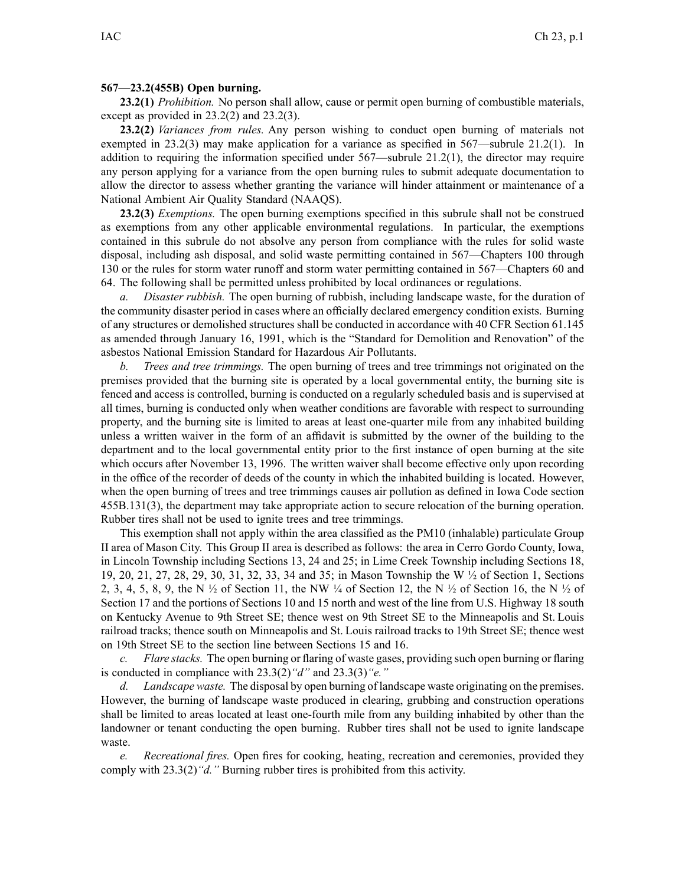## **567—23.2(455B) Open burning.**

**23.2(1)** *Prohibition.* No person shall allow, cause or permit open burning of combustible materials, excep<sup>t</sup> as provided in 23.2(2) and 23.2(3).

**23.2(2)** *Variances from rules.* Any person wishing to conduct open burning of materials not exempted in 23.2(3) may make application for <sup>a</sup> variance as specified in 567—subrule 21.2(1). In addition to requiring the information specified under 567—subrule 21.2(1), the director may require any person applying for <sup>a</sup> variance from the open burning rules to submit adequate documentation to allow the director to assess whether granting the variance will hinder attainment or maintenance of <sup>a</sup> National Ambient Air Quality Standard (NAAQS).

**23.2(3)** *Exemptions.* The open burning exemptions specified in this subrule shall not be construed as exemptions from any other applicable environmental regulations. In particular, the exemptions contained in this subrule do not absolve any person from compliance with the rules for solid waste disposal, including ash disposal, and solid waste permitting contained in 567—Chapters 100 through 130 or the rules for storm water runoff and storm water permitting contained in 567—Chapters 60 and 64. The following shall be permitted unless prohibited by local ordinances or regulations.

*a. Disaster rubbish.* The open burning of rubbish, including landscape waste, for the duration of the community disaster period in cases where an officially declared emergency condition exists. Burning of any structures or demolished structures shall be conducted in accordance with 40 CFR Section 61.145 as amended through January 16, 1991, which is the "Standard for Demolition and Renovation" of the asbestos National Emission Standard for Hazardous Air Pollutants.

*b. Trees and tree trimmings.* The open burning of trees and tree trimmings not originated on the premises provided that the burning site is operated by <sup>a</sup> local governmental entity, the burning site is fenced and access is controlled, burning is conducted on <sup>a</sup> regularly scheduled basis and is supervised at all times, burning is conducted only when weather conditions are favorable with respec<sup>t</sup> to surrounding property, and the burning site is limited to areas at least one-quarter mile from any inhabited building unless <sup>a</sup> written waiver in the form of an affidavit is submitted by the owner of the building to the department and to the local governmental entity prior to the first instance of open burning at the site which occurs after November 13, 1996. The written waiver shall become effective only upon recording in the office of the recorder of deeds of the county in which the inhabited building is located. However, when the open burning of trees and tree trimmings causes air pollution as defined in Iowa Code section 455B.131(3), the department may take appropriate action to secure relocation of the burning operation. Rubber tires shall not be used to ignite trees and tree trimmings.

This exemption shall not apply within the area classified as the PM10 (inhalable) particulate Group II area of Mason City. This Group II area is described as follows: the area in Cerro Gordo County, Iowa, in Lincoln Township including Sections 13, 24 and 25; in Lime Creek Township including Sections 18, 19, 20, 21, 27, 28, 29, 30, 31, 32, 33, 34 and 35; in Mason Township the W ½ of Section 1, Sections 2, 3, 4, 5, 8, 9, the N  $\frac{1}{2}$  of Section 11, the NW  $\frac{1}{4}$  of Section 12, the N  $\frac{1}{2}$  of Section 16, the N  $\frac{1}{2}$  of Section 17 and the portions of Sections 10 and 15 north and west of the line from U.S. Highway 18 south on Kentucky Avenue to 9th Street SE; thence west on 9th Street SE to the Minneapolis and St. Louis railroad tracks; thence south on Minneapolis and St. Louis railroad tracks to 19th Street SE; thence west on 19th Street SE to the section line between Sections 15 and 16.

*c. Flare stacks.* The open burning or flaring of waste gases, providing such open burning or flaring is conducted in compliance with 23.3(2)*"d"* and 23.3(3)*"e."*

*d. Landscape waste.* The disposal by open burning of landscape waste originating on the premises. However, the burning of landscape waste produced in clearing, grubbing and construction operations shall be limited to areas located at least one-fourth mile from any building inhabited by other than the landowner or tenant conducting the open burning. Rubber tires shall not be used to ignite landscape waste.

*e. Recreational fires.* Open fires for cooking, heating, recreation and ceremonies, provided they comply with 23.3(2)*"d."* Burning rubber tires is prohibited from this activity.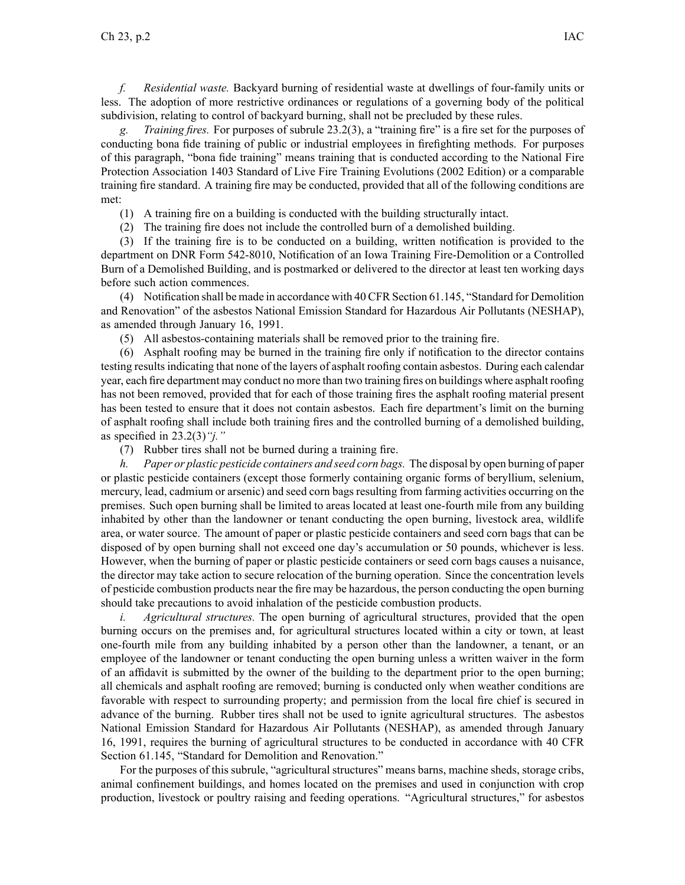*f. Residential waste.* Backyard burning of residential waste at dwellings of four-family units or less. The adoption of more restrictive ordinances or regulations of <sup>a</sup> governing body of the political subdivision, relating to control of backyard burning, shall not be precluded by these rules.

*g. Training fires.* For purposes of subrule 23.2(3), <sup>a</sup> "training fire" is <sup>a</sup> fire set for the purposes of conducting bona fide training of public or industrial employees in firefighting methods. For purposes of this paragraph, "bona fide training" means training that is conducted according to the National Fire Protection Association 1403 Standard of Live Fire Training Evolutions (2002 Edition) or <sup>a</sup> comparable training fire standard. A training fire may be conducted, provided that all of the following conditions are met:

- (1) A training fire on <sup>a</sup> building is conducted with the building structurally intact.
- (2) The training fire does not include the controlled burn of <sup>a</sup> demolished building.

(3) If the training fire is to be conducted on <sup>a</sup> building, written notification is provided to the department on DNR Form 542-8010, Notification of an Iowa Training Fire-Demolition or <sup>a</sup> Controlled Burn of <sup>a</sup> Demolished Building, and is postmarked or delivered to the director at least ten working days before such action commences.

(4) Notification shall be made in accordance with 40 CFR Section 61.145, "Standard for Demolition and Renovation" of the asbestos National Emission Standard for Hazardous Air Pollutants (NESHAP), as amended through January 16, 1991.

(5) All asbestos-containing materials shall be removed prior to the training fire.

(6) Asphalt roofing may be burned in the training fire only if notification to the director contains testing resultsindicating that none of the layers of asphalt roofing contain asbestos. During each calendar year, each fire department may conduct no more than two training fires on buildings where asphalt roofing has not been removed, provided that for each of those training fires the asphalt roofing material presen<sup>t</sup> has been tested to ensure that it does not contain asbestos. Each fire department's limit on the burning of asphalt roofing shall include both training fires and the controlled burning of <sup>a</sup> demolished building, as specified in 23.2(3)*"j."*

(7) Rubber tires shall not be burned during <sup>a</sup> training fire.

*h. Paper or plastic pesticide containers and seed corn bags.* The disposal by open burning of paper or plastic pesticide containers (except those formerly containing organic forms of beryllium, selenium, mercury, lead, cadmium or arsenic) and seed corn bags resulting from farming activities occurring on the premises. Such open burning shall be limited to areas located at least one-fourth mile from any building inhabited by other than the landowner or tenant conducting the open burning, livestock area, wildlife area, or water source. The amount of paper or plastic pesticide containers and seed corn bags that can be disposed of by open burning shall not exceed one day's accumulation or 50 pounds, whichever is less. However, when the burning of paper or plastic pesticide containers or seed corn bags causes <sup>a</sup> nuisance, the director may take action to secure relocation of the burning operation. Since the concentration levels of pesticide combustion products near the fire may be hazardous, the person conducting the open burning should take precautions to avoid inhalation of the pesticide combustion products.

*i. Agricultural structures.* The open burning of agricultural structures, provided that the open burning occurs on the premises and, for agricultural structures located within <sup>a</sup> city or town, at least one-fourth mile from any building inhabited by <sup>a</sup> person other than the landowner, <sup>a</sup> tenant, or an employee of the landowner or tenant conducting the open burning unless <sup>a</sup> written waiver in the form of an affidavit is submitted by the owner of the building to the department prior to the open burning; all chemicals and asphalt roofing are removed; burning is conducted only when weather conditions are favorable with respec<sup>t</sup> to surrounding property; and permission from the local fire chief is secured in advance of the burning. Rubber tires shall not be used to ignite agricultural structures. The asbestos National Emission Standard for Hazardous Air Pollutants (NESHAP), as amended through January 16, 1991, requires the burning of agricultural structures to be conducted in accordance with 40 CFR Section 61.145, "Standard for Demolition and Renovation."

For the purposes of this subrule, "agricultural structures" means barns, machine sheds, storage cribs, animal confinement buildings, and homes located on the premises and used in conjunction with crop production, livestock or poultry raising and feeding operations. "Agricultural structures," for asbestos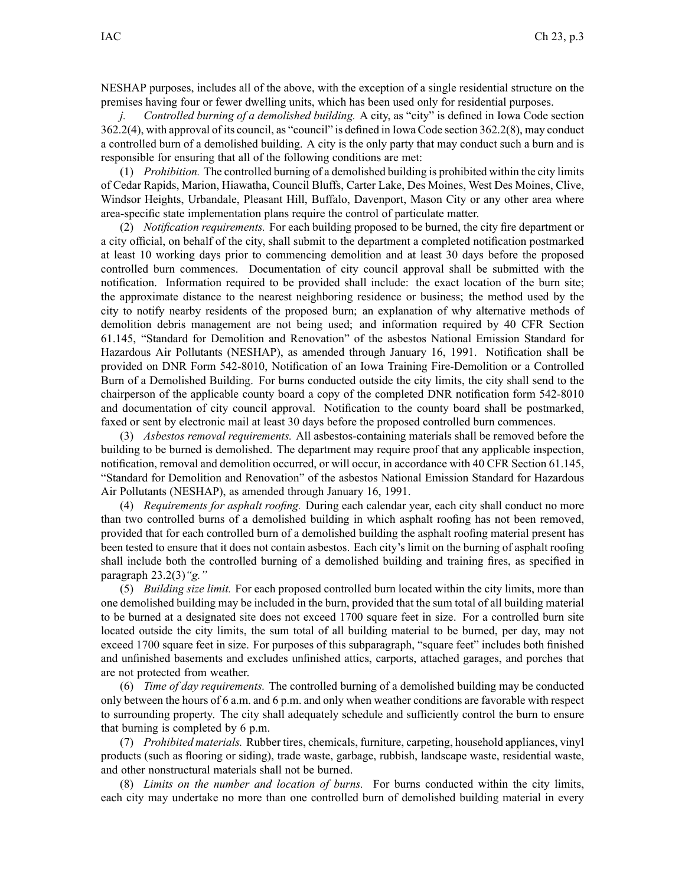NESHAP purposes, includes all of the above, with the exception of <sup>a</sup> single residential structure on the premises having four or fewer dwelling units, which has been used only for residential purposes.

*j. Controlled burning of <sup>a</sup> demolished building.* A city, as "city" is defined in Iowa Code section 362.2(4), with approval of its council, as "council" is defined in Iowa Code section 362.2(8), may conduct <sup>a</sup> controlled burn of <sup>a</sup> demolished building. A city is the only party that may conduct such <sup>a</sup> burn and is responsible for ensuring that all of the following conditions are met:

(1) *Prohibition.* The controlled burning of <sup>a</sup> demolished building is prohibited within the city limits of Cedar Rapids, Marion, Hiawatha, Council Bluffs, Carter Lake, Des Moines, West Des Moines, Clive, Windsor Heights, Urbandale, Pleasant Hill, Buffalo, Davenport, Mason City or any other area where area-specific state implementation plans require the control of particulate matter.

(2) *Notification requirements.* For each building proposed to be burned, the city fire department or <sup>a</sup> city official, on behalf of the city, shall submit to the department <sup>a</sup> completed notification postmarked at least 10 working days prior to commencing demolition and at least 30 days before the proposed controlled burn commences. Documentation of city council approval shall be submitted with the notification. Information required to be provided shall include: the exact location of the burn site; the approximate distance to the nearest neighboring residence or business; the method used by the city to notify nearby residents of the proposed burn; an explanation of why alternative methods of demolition debris managemen<sup>t</sup> are not being used; and information required by 40 CFR Section 61.145, "Standard for Demolition and Renovation" of the asbestos National Emission Standard for Hazardous Air Pollutants (NESHAP), as amended through January 16, 1991. Notification shall be provided on DNR Form 542-8010, Notification of an Iowa Training Fire-Demolition or <sup>a</sup> Controlled Burn of <sup>a</sup> Demolished Building. For burns conducted outside the city limits, the city shall send to the chairperson of the applicable county board <sup>a</sup> copy of the completed DNR notification form 542-8010 and documentation of city council approval. Notification to the county board shall be postmarked, faxed or sent by electronic mail at least 30 days before the proposed controlled burn commences.

(3) *Asbestos removal requirements.* All asbestos-containing materials shall be removed before the building to be burned is demolished. The department may require proof that any applicable inspection, notification, removal and demolition occurred, or will occur, in accordance with 40 CFR Section 61.145, "Standard for Demolition and Renovation" of the asbestos National Emission Standard for Hazardous Air Pollutants (NESHAP), as amended through January 16, 1991.

(4) *Requirements for asphalt roofing.* During each calendar year, each city shall conduct no more than two controlled burns of <sup>a</sup> demolished building in which asphalt roofing has not been removed, provided that for each controlled burn of <sup>a</sup> demolished building the asphalt roofing material presen<sup>t</sup> has been tested to ensure that it does not contain asbestos. Each city's limit on the burning of asphalt roofing shall include both the controlled burning of <sup>a</sup> demolished building and training fires, as specified in paragraph 23.2(3)*"g."*

(5) *Building size limit.* For each proposed controlled burn located within the city limits, more than one demolished building may be included in the burn, provided that the sum total of all building material to be burned at <sup>a</sup> designated site does not exceed 1700 square feet in size. For <sup>a</sup> controlled burn site located outside the city limits, the sum total of all building material to be burned, per day, may not exceed 1700 square feet in size. For purposes of this subparagraph, "square feet" includes both finished and unfinished basements and excludes unfinished attics, carports, attached garages, and porches that are not protected from weather.

(6) *Time of day requirements.* The controlled burning of <sup>a</sup> demolished building may be conducted only between the hours of 6 a.m. and 6 p.m. and only when weather conditions are favorable with respec<sup>t</sup> to surrounding property. The city shall adequately schedule and sufficiently control the burn to ensure that burning is completed by 6 p.m.

(7) *Prohibited materials.* Rubber tires, chemicals, furniture, carpeting, household appliances, vinyl products (such as flooring or siding), trade waste, garbage, rubbish, landscape waste, residential waste, and other nonstructural materials shall not be burned.

(8) *Limits on the number and location of burns.* For burns conducted within the city limits, each city may undertake no more than one controlled burn of demolished building material in every